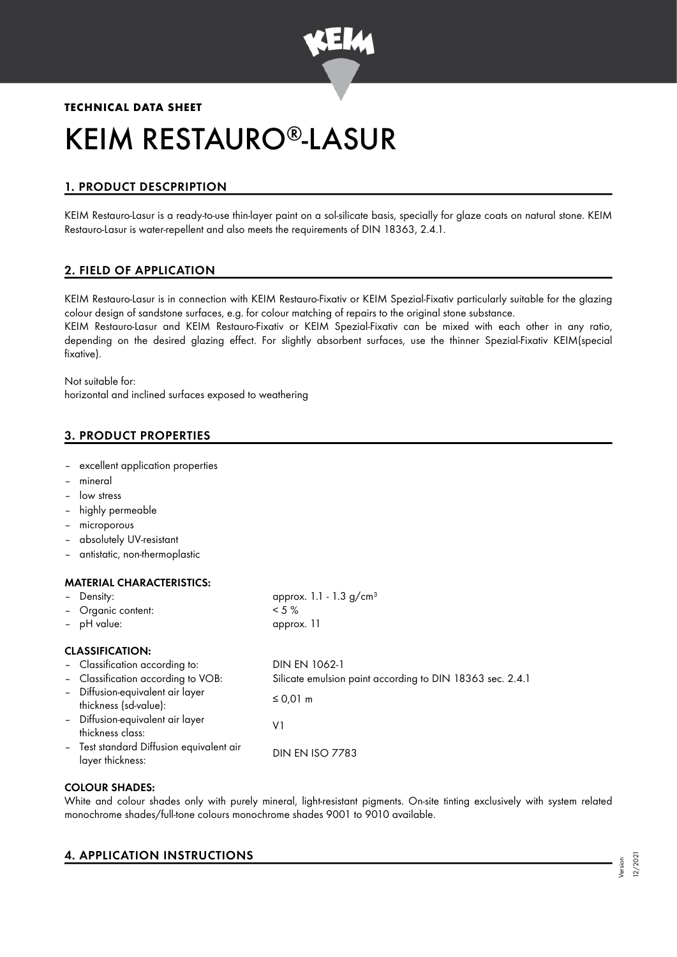

# **TECHNICAL DATA SHEET** KEIM RESTAURO®-LASUR

# 1. PRODUCT DESCPRIPTION

KEIM Restauro-Lasur is a ready-to-use thin-layer paint on a sol-silicate basis, specially for glaze coats on natural stone. KEIM Restauro-Lasur is water-repellent and also meets the requirements of DIN 18363, 2.4.1.

# 2. FIELD OF APPLICATION

KEIM Restauro-Lasur is in connection with KEIM Restauro-Fixativ or KEIM Spezial-Fixativ particularly suitable for the glazing colour design of sandstone surfaces, e.g. for colour matching of repairs to the original stone substance. KEIM Restauro-Lasur and KEIM Restauro-Fixativ or KEIM Spezial-Fixativ can be mixed with each other in any ratio, depending on the desired glazing effect. For slightly absorbent surfaces, use the thinner Spezial-Fixativ KEIM(special fixative).

Not suitable for: horizontal and inclined surfaces exposed to weathering

# 3. PRODUCT PROPERTIES

- excellent application properties
- mineral
- low stress
- highly permeable
- microporous
- absolutely UV-resistant
- antistatic, non-thermoplastic

#### MATERIAL CHARACTERISTICS.

| - Density:                                                   | approx. 1.1 - 1.3 $g/cm^{3}$                              |  |
|--------------------------------------------------------------|-----------------------------------------------------------|--|
| - Organic content:                                           | $< 5 \%$                                                  |  |
| - pH value:                                                  | approx. 11                                                |  |
| <b>CLASSIFICATION:</b>                                       |                                                           |  |
| - Classification according to:                               | DIN EN 1062-1                                             |  |
| - Classification according to VOB:                           | Silicate emulsion paint according to DIN 18363 sec. 2.4.1 |  |
| - Diffusion-equivalent air layer<br>thickness (sd-value):    | $\leq$ 0,01 m                                             |  |
| - Diffusion-equivalent air layer<br>thickness class:         | V١                                                        |  |
| - Test standard Diffusion equivalent air<br>layer thickness: | <b>DIN EN ISO 7783</b>                                    |  |

# COLOUR SHADES:

White and colour shades only with purely mineral, light-resistant pigments. On-site tinting exclusively with system related monochrome shades/full-tone colours monochrome shades 9001 to 9010 available.

# 4. APPLICATION INSTRUCTIONS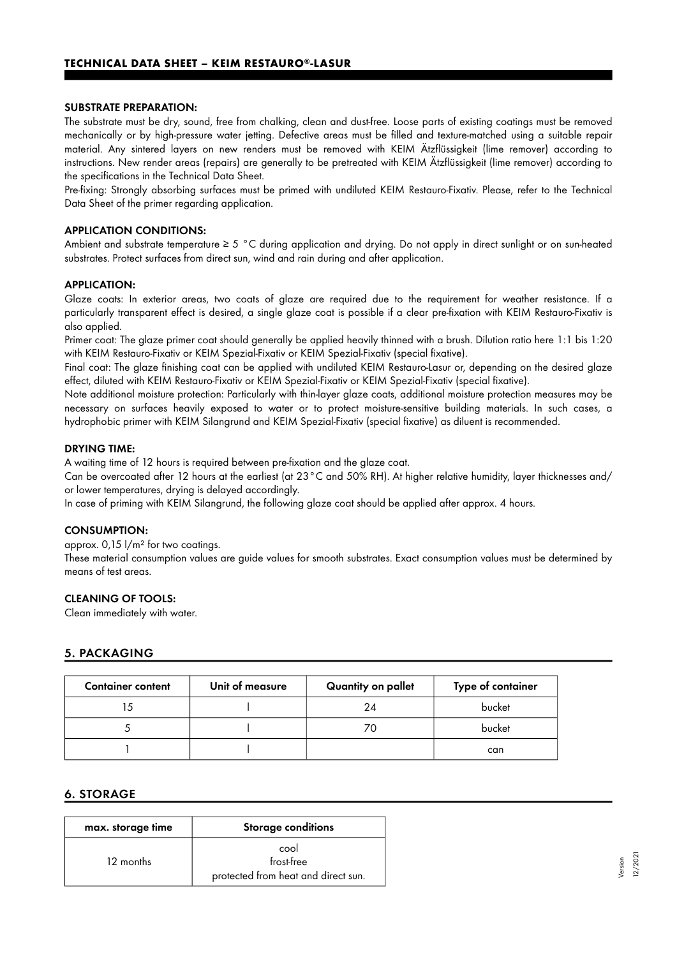#### SUBSTRATE PREPARATION:

The substrate must be dry, sound, free from chalking, clean and dust-free. Loose parts of existing coatings must be removed mechanically or by high-pressure water jetting. Defective areas must be filled and texture-matched using a suitable repair material. Any sintered layers on new renders must be removed with KEIM Ätzflüssigkeit (lime remover) according to instructions. New render areas (repairs) are generally to be pretreated with KEIM Ätzflüssigkeit (lime remover) according to the specifications in the Technical Data Sheet.

Pre-fixing: Strongly absorbing surfaces must be primed with undiluted KEIM Restauro-Fixativ. Please, refer to the Technical Data Sheet of the primer regarding application.

#### APPLICATION CONDITIONS:

Ambient and substrate temperature ≥ 5 °C during application and drying. Do not apply in direct sunlight or on sun-heated substrates. Protect surfaces from direct sun, wind and rain during and after application.

#### APPLICATION:

Glaze coats: In exterior areas, two coats of glaze are required due to the requirement for weather resistance. If a particularly transparent effect is desired, a single glaze coat is possible if a clear pre-fixation with KEIM Restauro-Fixativ is also applied.

Primer coat: The glaze primer coat should generally be applied heavily thinned with a brush. Dilution ratio here 1:1 bis 1:20 with KEIM Restauro-Fixativ or KEIM Spezial-Fixativ or KEIM Spezial-Fixativ (special fixative).

Final coat: The glaze finishing coat can be applied with undiluted KEIM Restauro-Lasur or, depending on the desired glaze effect, diluted with KEIM Restauro-Fixativ or KEIM Spezial-Fixativ or KEIM Spezial-Fixativ (special fixative).

Note additional moisture protection: Particularly with thin-layer glaze coats, additional moisture protection measures may be necessary on surfaces heavily exposed to water or to protect moisture-sensitive building materials. In such cases, a hydrophobic primer with KEIM Silangrund and KEIM Spezial-Fixativ (special fixative) as diluent is recommended.

#### DRYING TIME:

A waiting time of 12 hours is required between pre-fixation and the glaze coat.

Can be overcoated after 12 hours at the earliest (at 23°C and 50% RH). At higher relative humidity, layer thicknesses and/ or lower temperatures, drying is delayed accordingly.

In case of priming with KEIM Silangrund, the following glaze coat should be applied after approx. 4 hours.

#### CONSUMPTION:

approx. 0,15 l/m² for two coatings.

These material consumption values are guide values for smooth substrates. Exact consumption values must be determined by means of test areas.

#### CLEANING OF TOOLS:

Clean immediately with water.

# 5. PACKAGING

| <b>Container content</b> | Unit of measure | Quantity on pallet | Type of container |
|--------------------------|-----------------|--------------------|-------------------|
|                          |                 | 24                 | bucket            |
|                          |                 |                    | bucket            |
|                          |                 |                    | can               |

# 6. STORAGE

| max. storage time | <b>Storage conditions</b>                                 |
|-------------------|-----------------------------------------------------------|
| 12 months         | cool<br>frost-free<br>protected from heat and direct sun. |